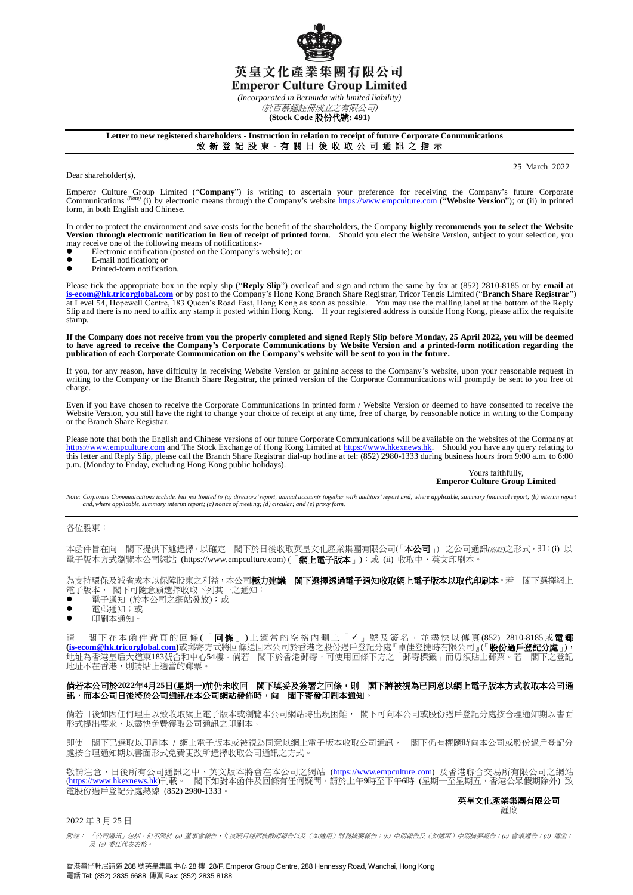

*(Incorporated in Bermuda with limited liability)*

(於百慕達註冊成立之有限公司) **(Stock Code** 股份代號**: 491)**

### **Letter to new registered shareholders - Instruction in relation to receipt of future Corporate Communications**

# 致 新 登 記 股 東 - 有 關 日 後 收 取 公 司 通 訊 之 指 示

Dear shareholder(s),

25 March 2022

Emperor Culture Group Limited ("**Company**") is writing to ascertain your preference for receiving the Company's future Corporate Communications (Note) (i) by electronic means through the Company's website **https://www.empculture.com** ("**Website Version**"); or (ii) in printed form, in both English and Chinese.

In order to protect the environment and save costs for the benefit of the shareholders, the Company **highly recommends you to select the Website Version through electronic notification in lieu of receipt of printed form**. Should you elect the Website Version, subject to your selection, you may receive one of the following means of notifications:-

- $\bullet$  Electronic notification (posted on the Company's website); or<br>E-mail notification: or
- E-mail notification; or<br>■ Printed-form notification
- Printed-form notification.

Please tick the appropriate box in the reply slip ("**Reply Slip**") overleaf and sign and return the same by fax at (852) 2810-8185 or by **email at [is-ecom@hk.tricorglobal.com](mailto:is-ecom@hk.tricorglobal.com)** or by post to the Company's Hong Kong Branch Share Registrar, Tricor Tengis Limited ("**Branch Share Registrar**") at Level 54, Hopewell Centre, 183 Queen's Road East, Hong Kong as soon as possible. You may use the mailing label at the bottom of the Reply<br>Slip and there is no need to affix any stamp if posted within Hong Kong. If your stamp.

If the Company does not receive from you the properly completed and signed Reply Slip before Monday, 25 April 2022, you will be deemed<br>to have agreed to receive the Company's Corporate Communications by Website Version and **publication of each Corporate Communication on the Company's website will be sent to you in the future.**

If you, for any reason, have difficulty in receiving Website Version or gaining access to the Company's website, upon your reasonable request in writing to the Company or the Branch Share Registrar, the printed version of the Corporate Communications will promptly be sent to you free of charge.

Even if you have chosen to receive the Corporate Communications in printed form / Website Version or deemed to have consented to receive the Website Version, you still have the right to change your choice of receipt at any time, free of charge, by reasonable notice in writing to the Company or the Branch Share Registrar.

Please note that both the English and Chinese versions of our future Corporate Communications will be available on the websites of the Company at [https://www.empculture.com](https://www.empculture.com/) and The Stock Exchange of Hong Kong Limited at [https://www.hkexnews.hk.](https://www.hkexnews.hk/) Should you have any query relating to this letter and Reply Slip, please call the Branch Share Registrar dial-up hotline at tel: (852) 2980-1333 during business hours from 9:00 a.m. to 6:00 p.m. (Monday to Friday, excluding Hong Kong public holidays).

#### Yours faithfully, **Emperor Culture Group Limited**

Note: Corporate Communications include, but not limited to (a) directors' report, annual accounts together with auditors' report and, where applicable, summary financial report; (b) interim report<br>and, where applicable, su

### 各位股東:

本函件旨在向 閣下提供下述選擇,以確定 閣下於日後收取英皇文化產業集團有限公司(「本公司」) 之公司通訊(*附註*)之形式,即:(i) 以 電子版本方式瀏覽本公司網站 (https://www.empculture.com) (「**網上電子版本**」);或 (ii) 收取中、英文印刷本。

為支持環保及減省成本以保障股東之利益,本公司**極力建議 閣下選擇透過電子通知收取網上電子版本以取代印刷本**。若 閣下選擇網上 電子版本, 閣下可隨意願選擇收取下列其一之通知:

- 電子通知 (於本公司之網站發放);或
- 電郵通知;或
- 印刷本涌知。

請 閣下在本函件背頁的回條(「回條」)上適當的空格內劃上「✔」號及簽名,並盡快以傳真(852) 2810-8185或電郵 **[\(is-ecom@hk.tricorglobal.com\)](mailto:is-ecom@hk.tricorglobal.com)**或郵寄方式將回條送回本公司於香港之股份過戶登記分處『卓佳登捷時有限公司』(「股份過戶登記分處」), 地址為香港皇后大道東183號合和中心54樓。倘若 閣下於香港郵寄,可使用回條下方之「郵寄標籤」而毋須貼上郵票。若 閣下之登記 地址不在香港,則請貼上適當的郵票。

## 倘若本公司於**2022**年**4**月**25**日**(**星期一**)**前仍未收回 閣下填妥及簽署之回條,則 閣下將被視為已同意以網上電子版本方式收取本公司通 訊,而本公司日後將於公司通訊在本公司網站發佈時,向 閣下寄發印刷本通知。

倘若日後如因任何理由以致收取網上電子版本或瀏覽本公司網站時出現困難, 閣下可向本公司或股份過戶登記分處按合理通知期以書面 形式提出要求,以盡快免費獲取公司通訊之印刷本。

即使 閣下已選取以印刷本 / 網上電子版本或被視為同意以網上電子版本收取公司通訊, 閣下仍有權隨時向本公司或股份過戶登記分 處按合理通知期以書面形式免費更改所選擇收取公司通訊之方式。

敬請注意,日後所有公司通訊之中、英文版本將會在本公司之網站 (<u>https://www.empculture.com</u>) 及香港聯合交易所有限公司之網站 (<u>https://www.hkexnews.hk</u>)刊載。 閣下如對本函件及回條有任何疑問,請於上午9時至下午6時 (星期一至星期五,香港公眾假期除外) 致 電股份過戶登記分處熱線 (852) 2980-1333。

#### 英皇文化產業集團有限公司 謹啟

# 2022 年 3 月 25 日

附註: 「公司通訊」包括,但不限於 (a) 董事會報告、年度賬目連同核數師報告以及(如適用)財務摘要報告;(b) 中期報告及(如適用)中期摘要報告;(c) 會議通告;(d) 通函; 及 (e) 委任代表表格。

香港灣仔軒尼詩道 288 號英皇集團中心 28 樓 28/F, Emperor Group Centre, 288 Hennessy Road, Wanchai, Hong Kong 電話 Tel: (852) 2835 6688 傳真 Fax: (852) 2835 8188